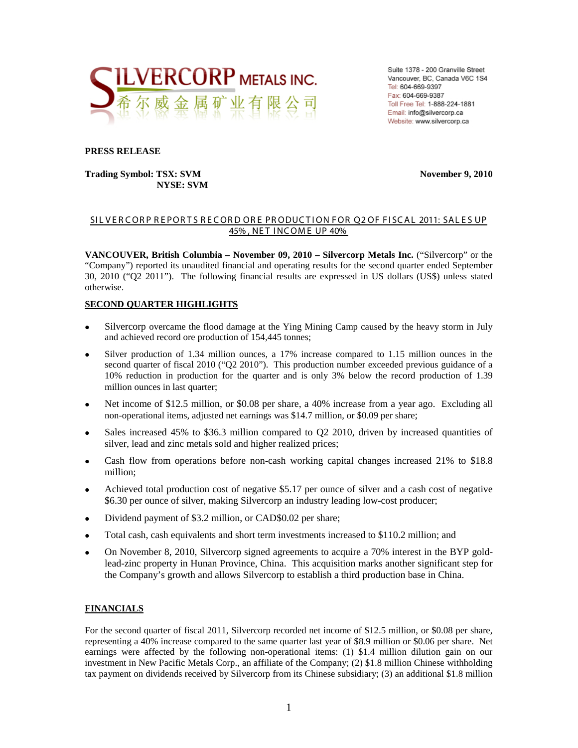

Suite 1378 - 200 Granville Street Vancouver, BC, Canada V6C 1S4 Tel: 604-669-9397 Fax: 604-669-9387 Toll Free Tel: 1-888-224-1881 Email: info@silvercorp.ca Website: www.silvercorp.ca

#### **PRESS RELEASE**

#### **Trading Symbol: TSX: SVM November 9, 2010 NYSE: SVM**

#### SIL VERCORP REPORTS RECORD ORE PRODUCTION FOR O2 OF FISCAL 2011: SALES UP 45% , NE T INCOME UP 40%

**VANCOUVER, British Columbia – November 09, 2010 – Silvercorp Metals Inc.** ("Silvercorp" or the "Company") reported its unaudited financial and operating results for the second quarter ended September 30, 2010 ("Q2 2011"). The following financial results are expressed in US dollars (US\$) unless stated otherwise.

#### **SECOND QUARTER HIGHLIGHTS**

- Silvercorp overcame the flood damage at the Ying Mining Camp caused by the heavy storm in July and achieved record ore production of 154,445 tonnes;
- Silver production of 1.34 million ounces, a 17% increase compared to 1.15 million ounces in the second quarter of fiscal 2010 ("Q2 2010"). This production number exceeded previous guidance of a 10% reduction in production for the quarter and is only 3% below the record production of 1.39 million ounces in last quarter;
- Net income of \$12.5 million, or \$0.08 per share, a 40% increase from a year ago. Excluding all non-operational items, adjusted net earnings was \$14.7 million, or \$0.09 per share;
- Sales increased 45% to \$36.3 million compared to Q2 2010, driven by increased quantities of silver, lead and zinc metals sold and higher realized prices;
- Cash flow from operations before non-cash working capital changes increased 21% to \$18.8 million;
- Achieved total production cost of negative \$5.17 per ounce of silver and a cash cost of negative \$6.30 per ounce of silver, making Silvercorp an industry leading low-cost producer;
- Dividend payment of \$3.2 million, or CAD\$0.02 per share;
- Total cash, cash equivalents and short term investments increased to \$110.2 million; and
- On November 8, 2010, Silvercorp signed agreements to acquire a 70% interest in the BYP goldlead-zinc property in Hunan Province, China. This acquisition marks another significant step for the Company's growth and allows Silvercorp to establish a third production base in China.

#### **FINANCIALS**

For the second quarter of fiscal 2011, Silvercorp recorded net income of \$12.5 million, or \$0.08 per share, representing a 40% increase compared to the same quarter last year of \$8.9 million or \$0.06 per share. Net earnings were affected by the following non-operational items: (1) \$1.4 million dilution gain on our investment in New Pacific Metals Corp., an affiliate of the Company; (2) \$1.8 million Chinese withholding tax payment on dividends received by Silvercorp from its Chinese subsidiary; (3) an additional \$1.8 million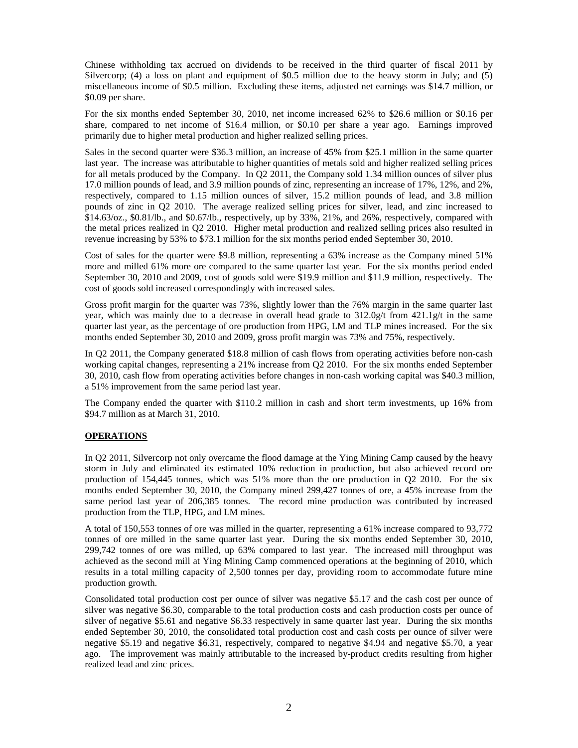Chinese withholding tax accrued on dividends to be received in the third quarter of fiscal 2011 by Silvercorp; (4) a loss on plant and equipment of \$0.5 million due to the heavy storm in July; and (5) miscellaneous income of \$0.5 million. Excluding these items, adjusted net earnings was \$14.7 million, or \$0.09 per share.

For the six months ended September 30, 2010, net income increased 62% to \$26.6 million or \$0.16 per share, compared to net income of \$16.4 million, or \$0.10 per share a year ago. Earnings improved primarily due to higher metal production and higher realized selling prices.

Sales in the second quarter were \$36.3 million, an increase of 45% from \$25.1 million in the same quarter last year. The increase was attributable to higher quantities of metals sold and higher realized selling prices for all metals produced by the Company. In Q2 2011, the Company sold 1.34 million ounces of silver plus 17.0 million pounds of lead, and 3.9 million pounds of zinc, representing an increase of 17%, 12%, and 2%, respectively, compared to 1.15 million ounces of silver, 15.2 million pounds of lead, and 3.8 million pounds of zinc in Q2 2010. The average realized selling prices for silver, lead, and zinc increased to \$14.63/oz., \$0.81/lb., and \$0.67/lb., respectively, up by 33%, 21%, and 26%, respectively, compared with the metal prices realized in Q2 2010. Higher metal production and realized selling prices also resulted in revenue increasing by 53% to \$73.1 million for the six months period ended September 30, 2010.

Cost of sales for the quarter were \$9.8 million, representing a 63% increase as the Company mined 51% more and milled 61% more ore compared to the same quarter last year. For the six months period ended September 30, 2010 and 2009, cost of goods sold were \$19.9 million and \$11.9 million, respectively. The cost of goods sold increased correspondingly with increased sales.

Gross profit margin for the quarter was 73%, slightly lower than the 76% margin in the same quarter last year, which was mainly due to a decrease in overall head grade to 312.0g/t from 421.1g/t in the same quarter last year, as the percentage of ore production from HPG, LM and TLP mines increased. For the six months ended September 30, 2010 and 2009, gross profit margin was 73% and 75%, respectively.

In Q2 2011, the Company generated \$18.8 million of cash flows from operating activities before non-cash working capital changes, representing a 21% increase from Q2 2010. For the six months ended September 30, 2010, cash flow from operating activities before changes in non-cash working capital was \$40.3 million, a 51% improvement from the same period last year.

The Company ended the quarter with \$110.2 million in cash and short term investments, up 16% from \$94.7 million as at March 31, 2010.

#### **OPERATIONS**

In Q2 2011, Silvercorp not only overcame the flood damage at the Ying Mining Camp caused by the heavy storm in July and eliminated its estimated 10% reduction in production, but also achieved record ore production of 154,445 tonnes, which was 51% more than the ore production in Q2 2010. For the six months ended September 30, 2010, the Company mined 299,427 tonnes of ore, a 45% increase from the same period last year of 206,385 tonnes. The record mine production was contributed by increased production from the TLP, HPG, and LM mines.

A total of 150,553 tonnes of ore was milled in the quarter, representing a 61% increase compared to 93,772 tonnes of ore milled in the same quarter last year. During the six months ended September 30, 2010, 299,742 tonnes of ore was milled, up 63% compared to last year. The increased mill throughput was achieved as the second mill at Ying Mining Camp commenced operations at the beginning of 2010, which results in a total milling capacity of 2,500 tonnes per day, providing room to accommodate future mine production growth.

Consolidated total production cost per ounce of silver was negative \$5.17 and the cash cost per ounce of silver was negative \$6.30, comparable to the total production costs and cash production costs per ounce of silver of negative \$5.61 and negative \$6.33 respectively in same quarter last year. During the six months ended September 30, 2010, the consolidated total production cost and cash costs per ounce of silver were negative \$5.19 and negative \$6.31, respectively, compared to negative \$4.94 and negative \$5.70, a year ago. The improvement was mainly attributable to the increased by-product credits resulting from higher realized lead and zinc prices.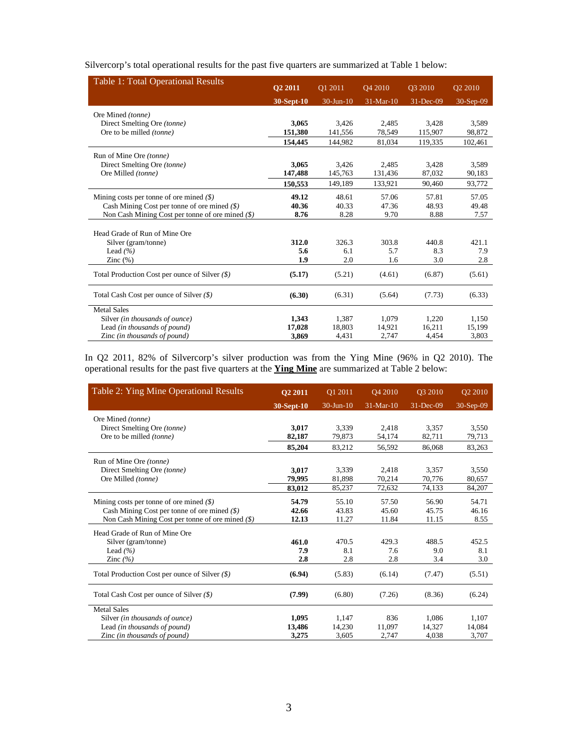| Table 1: Total Operational Results                            | Q2 2011    | O1 2011         | O <sub>4</sub> 2010 | O3 2010   | O <sub>2</sub> 2010 |
|---------------------------------------------------------------|------------|-----------------|---------------------|-----------|---------------------|
|                                                               | 30-Sept-10 | $30$ -Jun- $10$ | $31-Mar-10$         | 31-Dec-09 | $30-Sep-09$         |
| Ore Mined (tonne)                                             |            |                 |                     |           |                     |
| Direct Smelting Ore (tonne)                                   | 3,065      | 3,426           | 2,485               | 3,428     | 3,589               |
| Ore to be milled (tonne)                                      | 151,380    | 141,556         | 78,549              | 115,907   | 98,872              |
|                                                               | 154,445    | 144,982         | 81,034              | 119,335   | 102,461             |
| Run of Mine Ore (tonne)                                       |            |                 |                     |           |                     |
| Direct Smelting Ore (tonne)                                   | 3,065      | 3,426           | 2,485               | 3,428     | 3,589               |
| Ore Milled (tonne)                                            | 147,488    | 145,763         | 131,436             | 87,032    | 90,183              |
|                                                               | 150,553    | 149,189         | 133,921             | 90,460    | 93,772              |
| Mining costs per tonne of ore mined $(\$)$                    | 49.12      | 48.61           | 57.06               | 57.81     | 57.05               |
| Cash Mining Cost per tonne of ore mined $(\hat{\mathcal{S}})$ | 40.36      | 40.33           | 47.36               | 48.93     | 49.48               |
| Non Cash Mining Cost per tonne of ore mined $(\$)$            | 8.76       | 8.28            | 9.70                | 8.88      | 7.57                |
| Head Grade of Run of Mine Ore                                 |            |                 |                     |           |                     |
| Silver (gram/tonne)                                           | 312.0      | 326.3           | 303.8               | 440.8     | 421.1               |
| Lead $(\% )$                                                  | 5.6        | 6.1             | 5.7                 | 8.3       | 7.9                 |
| Zinc $(\%)$                                                   | 1.9        | 2.0             | 1.6                 | 3.0       | 2.8                 |
| Total Production Cost per ounce of Silver $(\$)$              | (5.17)     | (5.21)          | (4.61)              | (6.87)    | (5.61)              |
| Total Cash Cost per ounce of Silver $(\$)$                    | (6.30)     | (6.31)          | (5.64)              | (7.73)    | (6.33)              |
| <b>Metal Sales</b>                                            |            |                 |                     |           |                     |
| Silver (in thousands of ounce)                                | 1,343      | 1,387           | 1,079               | 1,220     | 1,150               |
| Lead (in thousands of pound)                                  | 17,028     | 18,803          | 14,921              | 16,211    | 15,199              |
| Zinc (in thousands of pound)                                  | 3,869      | 4,431           | 2,747               | 4,454     | 3,803               |

Silvercorp's total operational results for the past five quarters are summarized at Table 1 below:

In Q2 2011, 82% of Silvercorp's silver production was from the Ying Mine (96% in Q2 2010). The operational results for the past five quarters at the **Ying Mine** are summarized at Table 2 below:

| Table 2: Ying Mine Operational Results                | O <sub>2</sub> 2011 | Q1 2011         | O <sub>4</sub> 2010 | O3 2010   | Q2 2010      |
|-------------------------------------------------------|---------------------|-----------------|---------------------|-----------|--------------|
|                                                       | 30-Sept-10          | $30$ -Jun- $10$ | $31-Mar-10$         | 31-Dec-09 | $30$ -Sep-09 |
| Ore Mined (tonne)                                     |                     |                 |                     |           |              |
| Direct Smelting Ore (tonne)                           | 3.017               | 3,339           | 2,418               | 3,357     | 3,550        |
| Ore to be milled (tonne)                              | 82,187              | 79,873          | 54,174              | 82,711    | 79,713       |
|                                                       | 85,204              | 83,212          | 56,592              | 86,068    | 83,263       |
| Run of Mine Ore (tonne)                               |                     |                 |                     |           |              |
| Direct Smelting Ore (tonne)                           | 3.017               | 3.339           | 2.418               | 3.357     | 3.550        |
| Ore Milled (tonne)                                    | 79,995              | 81,898          | 70,214              | 70,776    | 80,657       |
|                                                       | 83,012              | 85,237          | 72,632              | 74,133    | 84,207       |
| Mining costs per tonne of ore mined $(\$)$            | 54.79               | 55.10           | 57.50               | 56.90     | 54.71        |
| Cash Mining Cost per tonne of ore mined $(\hat{y})$   | 42.66               | 43.83           | 45.60               | 45.75     | 46.16        |
| Non Cash Mining Cost per tonne of ore mined $(\$)$    | 12.13               | 11.27           | 11.84               | 11.15     | 8.55         |
| Head Grade of Run of Mine Ore                         |                     |                 |                     |           |              |
| Silver (gram/tonne)                                   | 461.0               | 470.5           | 429.3               | 488.5     | 452.5        |
| Lead $(%$                                             | 7.9                 | 8.1             | 7.6                 | 9.0       | 8.1          |
| Zinc $(\% )$                                          | 2.8                 | 2.8             | 2.8                 | 3.4       | 3.0          |
| Total Production Cost per ounce of Silver $(\hat{S})$ | (6.94)              | (5.83)          | (6.14)              | (7.47)    | (5.51)       |
| Total Cash Cost per ounce of Silver $(\$)$            | (7.99)              | (6.80)          | (7.26)              | (8.36)    | (6.24)       |
| <b>Metal Sales</b>                                    |                     |                 |                     |           |              |
| Silver (in thousands of ounce)                        | 1,095               | 1,147           | 836                 | 1,086     | 1,107        |
| Lead (in thousands of pound)                          | 13,486              | 14,230          | 11.097              | 14.327    | 14,084       |
| Zinc (in thousands of pound)                          | 3,275               | 3,605           | 2,747               | 4,038     | 3,707        |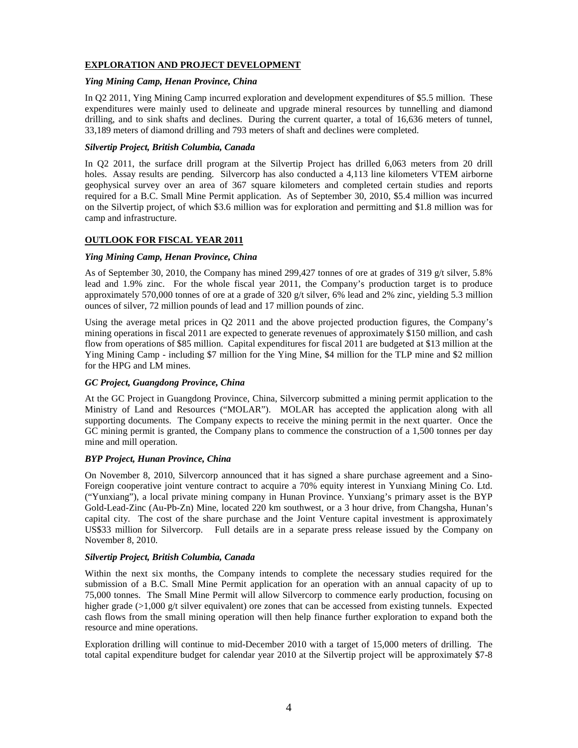#### **EXPLORATION AND PROJECT DEVELOPMENT**

#### *Ying Mining Camp, Henan Province, China*

In Q2 2011, Ying Mining Camp incurred exploration and development expenditures of \$5.5 million. These expenditures were mainly used to delineate and upgrade mineral resources by tunnelling and diamond drilling, and to sink shafts and declines. During the current quarter, a total of 16,636 meters of tunnel, 33,189 meters of diamond drilling and 793 meters of shaft and declines were completed.

#### *Silvertip Project, British Columbia, Canada*

In Q2 2011, the surface drill program at the Silvertip Project has drilled 6,063 meters from 20 drill holes. Assay results are pending. Silvercorp has also conducted a 4,113 line kilometers VTEM airborne geophysical survey over an area of 367 square kilometers and completed certain studies and reports required for a B.C. Small Mine Permit application. As of September 30, 2010, \$5.4 million was incurred on the Silvertip project, of which \$3.6 million was for exploration and permitting and \$1.8 million was for camp and infrastructure.

#### **OUTLOOK FOR FISCAL YEAR 2011**

#### *Ying Mining Camp, Henan Province, China*

As of September 30, 2010, the Company has mined 299,427 tonnes of ore at grades of 319 g/t silver, 5.8% lead and 1.9% zinc. For the whole fiscal year 2011, the Company's production target is to produce approximately 570,000 tonnes of ore at a grade of 320 g/t silver, 6% lead and 2% zinc, yielding 5.3 million ounces of silver, 72 million pounds of lead and 17 million pounds of zinc.

Using the average metal prices in Q2 2011 and the above projected production figures, the Company's mining operations in fiscal 2011 are expected to generate revenues of approximately \$150 million, and cash flow from operations of \$85 million. Capital expenditures for fiscal 2011 are budgeted at \$13 million at the Ying Mining Camp - including \$7 million for the Ying Mine, \$4 million for the TLP mine and \$2 million for the HPG and LM mines.

#### *GC Project, Guangdong Province, China*

At the GC Project in Guangdong Province, China, Silvercorp submitted a mining permit application to the Ministry of Land and Resources ("MOLAR"). MOLAR has accepted the application along with all supporting documents. The Company expects to receive the mining permit in the next quarter. Once the GC mining permit is granted, the Company plans to commence the construction of a 1,500 tonnes per day mine and mill operation.

#### *BYP Project, Hunan Province, China*

On November 8, 2010, Silvercorp announced that it has signed a share purchase agreement and a Sino-Foreign cooperative joint venture contract to acquire a 70% equity interest in Yunxiang Mining Co. Ltd. ("Yunxiang"), a local private mining company in Hunan Province. Yunxiang's primary asset is the BYP Gold-Lead-Zinc (Au-Pb-Zn) Mine, located 220 km southwest, or a 3 hour drive, from Changsha, Hunan's capital city. The cost of the share purchase and the Joint Venture capital investment is approximately US\$33 million for Silvercorp. Full details are in a separate press release issued by the Company on November 8, 2010.

#### *Silvertip Project, British Columbia, Canada*

Within the next six months, the Company intends to complete the necessary studies required for the submission of a B.C. Small Mine Permit application for an operation with an annual capacity of up to 75,000 tonnes. The Small Mine Permit will allow Silvercorp to commence early production, focusing on higher grade (>1,000 g/t silver equivalent) ore zones that can be accessed from existing tunnels. Expected cash flows from the small mining operation will then help finance further exploration to expand both the resource and mine operations.

Exploration drilling will continue to mid-December 2010 with a target of 15,000 meters of drilling. The total capital expenditure budget for calendar year 2010 at the Silvertip project will be approximately \$7-8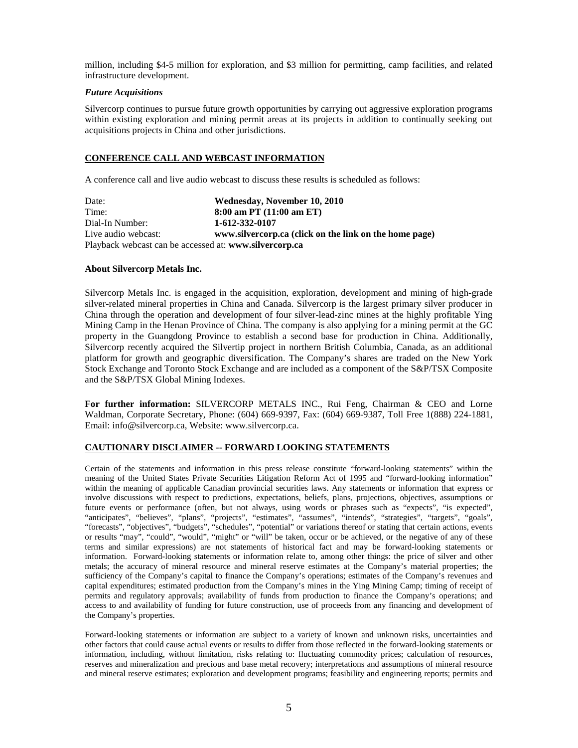million, including \$4-5 million for exploration, and \$3 million for permitting, camp facilities, and related infrastructure development.

#### *Future Acquisitions*

Silvercorp continues to pursue future growth opportunities by carrying out aggressive exploration programs within existing exploration and mining permit areas at its projects in addition to continually seeking out acquisitions projects in China and other jurisdictions.

#### **CONFERENCE CALL AND WEBCAST INFORMATION**

A conference call and live audio webcast to discuss these results is scheduled as follows:

| Date:               | Wednesday, November 10, 2010                           |
|---------------------|--------------------------------------------------------|
| Time:               | $8:00$ am PT $(11:00$ am ET)                           |
| Dial-In Number:     | 1-612-332-0107                                         |
| Live audio webcast: | www.silvercorp.ca (click on the link on the home page) |
|                     | Playback webcast can be accessed at: www.silvercorp.ca |

#### **About Silvercorp Metals Inc.**

Silvercorp Metals Inc. is engaged in the acquisition, exploration, development and mining of high-grade silver-related mineral properties in China and Canada. Silvercorp is the largest primary silver producer in China through the operation and development of four silver-lead-zinc mines at the highly profitable Ying Mining Camp in the Henan Province of China. The company is also applying for a mining permit at the GC property in the Guangdong Province to establish a second base for production in China. Additionally, Silvercorp recently acquired the Silvertip project in northern British Columbia, Canada, as an additional platform for growth and geographic diversification. The Company's shares are traded on the New York Stock Exchange and Toronto Stock Exchange and are included as a component of the S&P/TSX Composite and the S&P/TSX Global Mining Indexes.

**For further information:** SILVERCORP METALS INC., Rui Feng, Chairman & CEO and Lorne Waldman, Corporate Secretary, Phone: (604) 669-9397, Fax: (604) 669-9387, Toll Free 1(888) 224-1881, Email: info@silvercorp.ca, Website: www.silvercorp.ca.

#### **CAUTIONARY DISCLAIMER -- FORWARD LOOKING STATEMENTS**

Certain of the statements and information in this press release constitute "forward-looking statements" within the meaning of the United States Private Securities Litigation Reform Act of 1995 and "forward-looking information" within the meaning of applicable Canadian provincial securities laws. Any statements or information that express or involve discussions with respect to predictions, expectations, beliefs, plans, projections, objectives, assumptions or future events or performance (often, but not always, using words or phrases such as "expects", "is expected", "anticipates", "believes", "plans", "projects", "estimates", "assumes", "intends", "strategies", "targets", "goals", "forecasts", "objectives", "budgets", "schedules", "potential" or variations thereof or stating that certain actions, events or results "may", "could", "would", "might" or "will" be taken, occur or be achieved, or the negative of any of these terms and similar expressions) are not statements of historical fact and may be forward-looking statements or information. Forward-looking statements or information relate to, among other things: the price of silver and other metals; the accuracy of mineral resource and mineral reserve estimates at the Company's material properties; the sufficiency of the Company's capital to finance the Company's operations; estimates of the Company's revenues and capital expenditures; estimated production from the Company's mines in the Ying Mining Camp; timing of receipt of permits and regulatory approvals; availability of funds from production to finance the Company's operations; and access to and availability of funding for future construction, use of proceeds from any financing and development of the Company's properties.

Forward-looking statements or information are subject to a variety of known and unknown risks, uncertainties and other factors that could cause actual events or results to differ from those reflected in the forward-looking statements or information, including, without limitation, risks relating to: fluctuating commodity prices; calculation of resources, reserves and mineralization and precious and base metal recovery; interpretations and assumptions of mineral resource and mineral reserve estimates; exploration and development programs; feasibility and engineering reports; permits and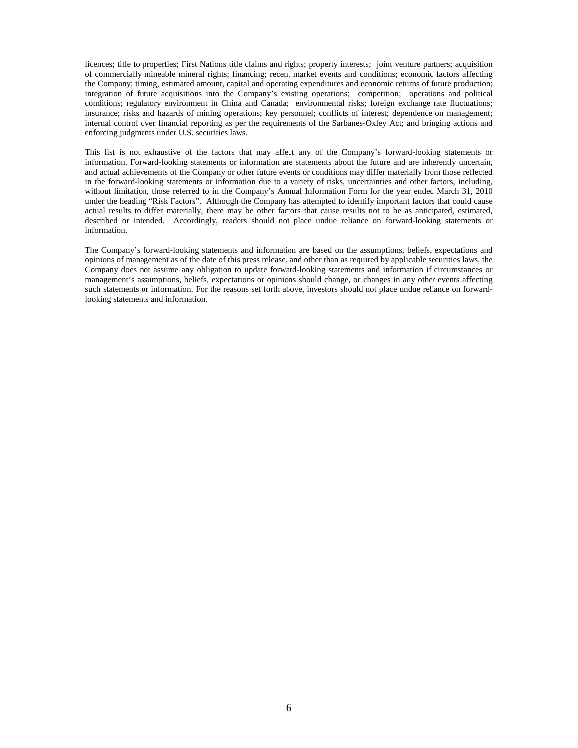licences; title to properties; First Nations title claims and rights; property interests; joint venture partners; acquisition of commercially mineable mineral rights; financing; recent market events and conditions; economic factors affecting the Company; timing, estimated amount, capital and operating expenditures and economic returns of future production; integration of future acquisitions into the Company's existing operations; competition; operations and political conditions; regulatory environment in China and Canada; environmental risks; foreign exchange rate fluctuations; insurance; risks and hazards of mining operations; key personnel; conflicts of interest; dependence on management; internal control over financial reporting as per the requirements of the Sarbanes-Oxley Act; and bringing actions and enforcing judgments under U.S. securities laws.

This list is not exhaustive of the factors that may affect any of the Company's forward-looking statements or information. Forward-looking statements or information are statements about the future and are inherently uncertain, and actual achievements of the Company or other future events or conditions may differ materially from those reflected in the forward-looking statements or information due to a variety of risks, uncertainties and other factors, including, without limitation, those referred to in the Company's Annual Information Form for the year ended March 31, 2010 under the heading "Risk Factors". Although the Company has attempted to identify important factors that could cause actual results to differ materially, there may be other factors that cause results not to be as anticipated, estimated, described or intended. Accordingly, readers should not place undue reliance on forward-looking statements or information.

The Company's forward-looking statements and information are based on the assumptions, beliefs, expectations and opinions of management as of the date of this press release, and other than as required by applicable securities laws, the Company does not assume any obligation to update forward-looking statements and information if circumstances or management's assumptions, beliefs, expectations or opinions should change, or changes in any other events affecting such statements or information. For the reasons set forth above, investors should not place undue reliance on forwardlooking statements and information.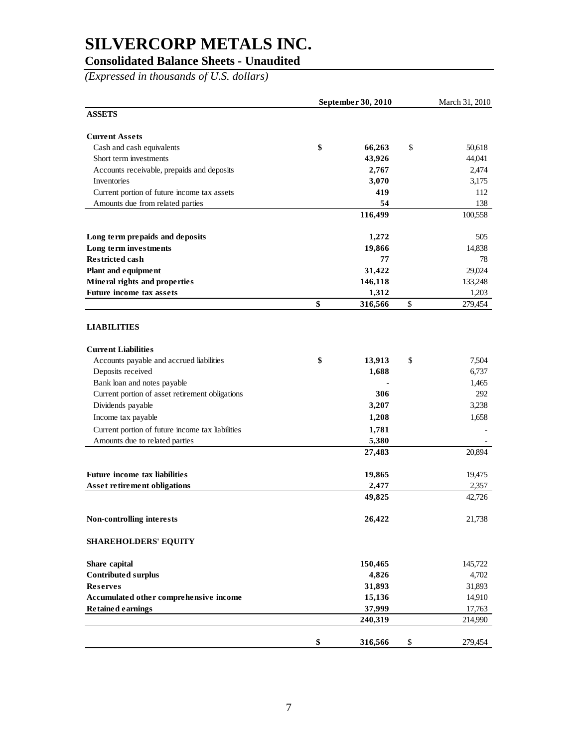## **Consolidated Balance Sheets - Unaudited**

*(Expressed in thousands of U.S. dollars)*

|                                                  | September 30, 2010 |         | March 31, 2010 |         |
|--------------------------------------------------|--------------------|---------|----------------|---------|
| <b>ASSETS</b>                                    |                    |         |                |         |
| <b>Current Assets</b>                            |                    |         |                |         |
| Cash and cash equivalents                        | \$                 | 66,263  | \$             | 50,618  |
| Short term investments                           |                    | 43,926  |                | 44,041  |
| Accounts receivable, prepaids and deposits       |                    | 2,767   |                | 2,474   |
| Inventories                                      |                    | 3,070   |                | 3,175   |
| Current portion of future income tax assets      |                    | 419     |                | 112     |
| Amounts due from related parties                 |                    | 54      |                | 138     |
|                                                  |                    | 116,499 |                | 100,558 |
| Long term prepaids and deposits                  |                    | 1,272   |                | 505     |
| Long term investments                            |                    | 19,866  |                | 14,838  |
| <b>Restricted cash</b>                           |                    | 77      |                | 78      |
| Plant and equipment                              |                    | 31,422  |                | 29,024  |
| Mineral rights and properties                    |                    | 146,118 |                | 133,248 |
| Future income tax assets                         |                    | 1,312   |                | 1,203   |
|                                                  | \$                 | 316,566 | \$             | 279,454 |
| <b>LIABILITIES</b>                               |                    |         |                |         |
| <b>Current Liabilities</b>                       |                    |         |                |         |
| Accounts payable and accrued liabilities         | \$                 | 13,913  | \$             | 7,504   |
| Deposits received                                |                    | 1,688   |                | 6,737   |
| Bank loan and notes payable                      |                    |         |                | 1,465   |
| Current portion of asset retirement obligations  |                    | 306     |                | 292     |
| Dividends payable                                |                    | 3,207   |                | 3,238   |
| Income tax payable                               |                    | 1,208   |                | 1,658   |
| Current portion of future income tax liabilities |                    | 1,781   |                |         |
| Amounts due to related parties                   |                    | 5,380   |                |         |
|                                                  |                    | 27,483  |                | 20,894  |
| <b>Future income tax liabilities</b>             |                    | 19,865  |                | 19,475  |
| Asset retirement obligations                     |                    | 2,477   |                | 2,357   |
|                                                  |                    | 49,825  |                | 42,726  |
| <b>Non-controlling interests</b>                 |                    | 26,422  |                | 21,738  |
| <b>SHAREHOLDERS' EQUITY</b>                      |                    |         |                |         |
| Share capital                                    |                    | 150,465 |                | 145,722 |
| <b>Contributed surplus</b>                       |                    | 4,826   |                | 4,702   |
| <b>Reserves</b>                                  |                    | 31,893  |                | 31,893  |
| Accumulated other comprehensive income           |                    | 15,136  |                | 14,910  |
| <b>Retained earnings</b>                         |                    | 37,999  |                | 17,763  |
|                                                  |                    | 240,319 |                | 214,990 |
|                                                  | \$                 | 316,566 | \$             | 279,454 |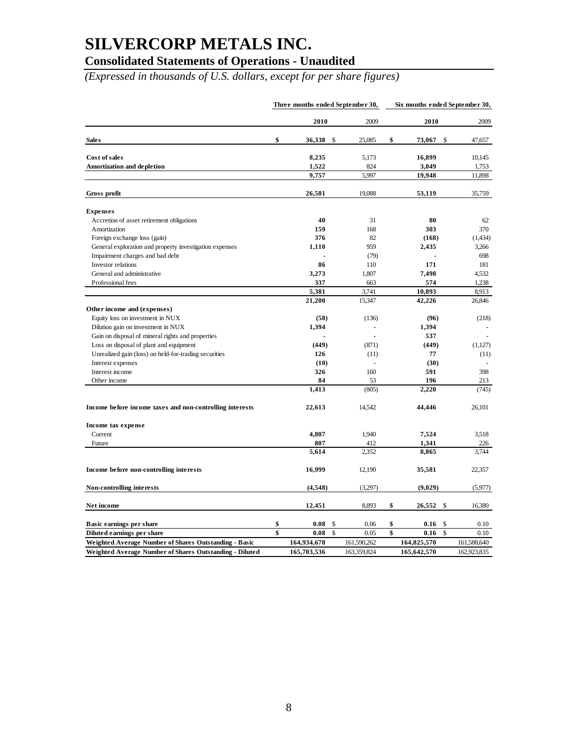## **Consolidated Statements of Operations - Unaudited**

*(Expressed in thousands of U.S. dollars, except for per share figures)*

|                                                          | Three months ended September 30, |               | Six months ended September 30, |    |                      |              |
|----------------------------------------------------------|----------------------------------|---------------|--------------------------------|----|----------------------|--------------|
|                                                          | 2010                             |               | 2009                           |    | 2010                 | 2009         |
| <b>Sales</b>                                             | \$<br>36,338                     | \$            | 25,085                         | \$ | 73,067               | \$<br>47,657 |
| <b>Cost of sales</b>                                     | 8,235                            |               | 5,173                          |    | 16,899               | 10,145       |
| <b>Amortization and depletion</b>                        | 1,522                            |               | 824                            |    | 3,049                | 1,753        |
|                                                          | 9,757                            |               | 5,997                          |    | 19,948               | 11,898       |
| Gross profit                                             | 26,581                           |               | 19,088                         |    | 53,119               | 35,759       |
| <b>Expenses</b>                                          |                                  |               |                                |    |                      |              |
| Accretion of asset retirement obligations                | 40                               |               | 31                             |    | 80                   | 62           |
| Amortization                                             | 159                              |               | 168                            |    | 303                  | 370          |
| Foreign exchange loss (gain)                             | 376                              |               | 82                             |    | (168)                | (1,434)      |
| General exploration and property investigation expenses  | 1,110                            |               | 959                            |    | 2,435                | 3,266        |
| Impairment charges and bad debt                          |                                  |               | (79)                           |    |                      | 698          |
| Investor relations                                       | 86                               |               | 110                            |    | 171                  | 181          |
| General and administrative                               | 3,273                            |               | 1,807                          |    | 7,498                | 4,532        |
| Professional fees                                        | 337                              |               | 663                            |    | 574                  | 1,238        |
|                                                          | 5.381                            |               | 3.741                          |    | 10,893               | 8.913        |
|                                                          | 21,200                           |               | 15,347                         |    | 42,226               | 26,846       |
| Other income and (expenses)                              |                                  |               |                                |    |                      |              |
| Equity loss on investment in NUX                         | (58)                             |               | (136)                          |    | (96)                 | (218)        |
| Dilution gain on investment in NUX                       | 1,394                            |               |                                |    | 1,394                |              |
| Gain on disposal of mineral rights and properties        |                                  |               |                                |    | 537                  |              |
| Loss on disposal of plant and equipment                  | (449)                            |               | (871)                          |    | (449)                | (1,127)      |
| Unrealized gain (loss) on held-for-trading securities    | 126                              |               | (11)                           |    | 77                   | (11)         |
|                                                          |                                  |               |                                |    | (30)                 |              |
| Interest expenses                                        | (10)<br>326                      |               | 160                            |    | 591                  | 398          |
| Interest income                                          | 84                               |               |                                |    | 196                  |              |
| Other income                                             | 1.413                            |               | 53<br>(805)                    |    | 2,220                | 213<br>(745) |
|                                                          |                                  |               |                                |    |                      |              |
| Income before income taxes and non-controlling interests | 22,613                           |               | 14,542                         |    | 44,446               | 26,101       |
| Income tax expense                                       |                                  |               |                                |    |                      |              |
| Current                                                  | 4,807                            |               | 1.940                          |    | 7,524                | 3,518        |
| Future                                                   | 807<br>5,614                     |               | 412<br>2,352                   |    | 1,341<br>8,865       | 226<br>3.744 |
|                                                          |                                  |               |                                |    |                      |              |
| Income before non-controlling interests                  | 16,999                           |               | 12,190                         |    | 35,581               | 22,357       |
| Non-controlling interests                                | (4,548)                          |               | (3,297)                        |    | (9,029)              | (5,977)      |
| Net income                                               | 12,451                           |               | 8,893                          | \$ | 26,552<br>\$         | 16,380       |
| Basic earnings per share                                 | \$<br>0.08                       | \$            | 0.06                           | \$ | $\mathbb{S}$<br>0.16 | 0.10         |
| Diluted earnings per share                               | \$<br>0.08                       | <sup>\$</sup> | 0.05                           | \$ | \$<br>0.16           | 0.10         |
| Weighted Average Number of Shares Outstanding - Basic    | 164,934,678                      |               | 161,590,262                    |    | 164,825,570          | 161,588,640  |
| Weighted Average Number of Shares Outstanding - Diluted  | 165,703,536                      |               | 163,359,824                    |    | 165,642,570          | 162,923,835  |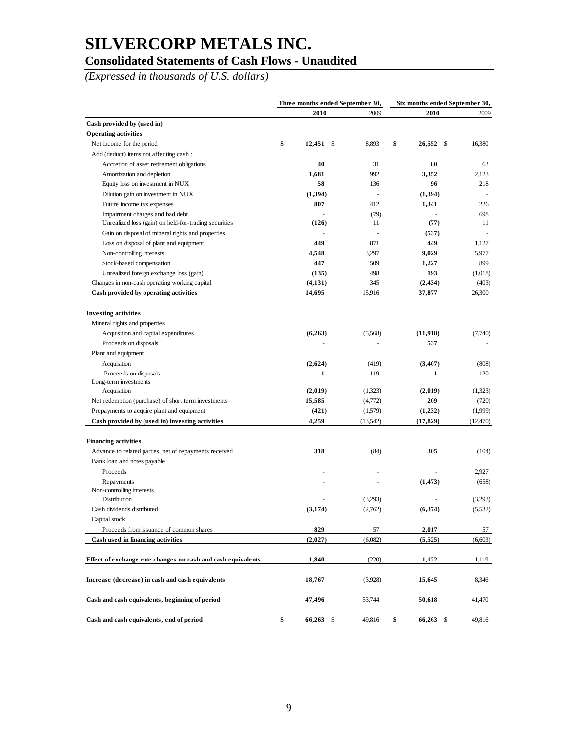### **Consolidated Statements of Cash Flows - Unaudited**

*(Expressed in thousands of U.S. dollars)*

|                                                              |                   | Three months ended September 30, |                   | Six months ended September 30, |
|--------------------------------------------------------------|-------------------|----------------------------------|-------------------|--------------------------------|
|                                                              | 2010              | 2009                             | 2010              | 2009                           |
| Cash provided by (used in)                                   |                   |                                  |                   |                                |
| <b>Operating activities</b>                                  |                   |                                  |                   |                                |
| Net income for the period                                    | \$<br>$12,451$ \$ | 8,893                            | \$<br>$26,552$ \$ | 16,380                         |
| Add (deduct) items not affecting cash:                       |                   |                                  |                   |                                |
| Accretion of asset retirement obligations                    | 40                | 31                               | 80                | 62                             |
| Amortization and depletion                                   | 1,681             | 992                              | 3,352             | 2,123                          |
| Equity loss on investment in NUX                             | 58                | 136                              | 96                | 218                            |
| Dilution gain on investment in NUX                           | (1, 394)          | $\sim$                           | (1, 394)          |                                |
| Future income tax expenses                                   | 807               | 412                              | 1,341             | 226                            |
| Impairment charges and bad debt                              |                   | (79)                             |                   | 698                            |
| Unrealized loss (gain) on held-for-trading securities        | (126)             | 11                               | (77)              | 11                             |
| Gain on disposal of mineral rights and properties            |                   | $\blacksquare$                   | (537)             |                                |
| Loss on disposal of plant and equipment                      | 449               | 871                              | 449               | 1,127                          |
| Non-controlling interests                                    | 4,548             | 3,297                            | 9,029             | 5,977                          |
| Stock-based compensation                                     | 447               | 509                              | 1,227             | 899                            |
| Unrealized foreign exchange loss (gain)                      | (135)             | 498                              | 193               | (1,018)                        |
| Changes in non-cash operating working capital                | (4, 131)          | 345                              | (2, 434)          | (403)                          |
| Cash provided by operating activities                        | 14,695            | 15,916                           | 37,877            | 26,300                         |
|                                                              |                   |                                  |                   |                                |
| <b>Investing activities</b>                                  |                   |                                  |                   |                                |
| Mineral rights and properties                                |                   |                                  |                   |                                |
| Acquisition and capital expenditures                         | (6,263)           | (5,568)                          | (11,918)          | (7,740)                        |
| Proceeds on disposals                                        |                   |                                  | 537               |                                |
| Plant and equipment                                          |                   |                                  |                   |                                |
| Acquisition                                                  | (2,624)           | (419)                            | (3, 407)          | (808)                          |
| Proceeds on disposals                                        | 1                 | 119                              | 1                 | 120                            |
| Long-term investments                                        |                   |                                  |                   |                                |
| Acquisition                                                  | (2,019)           | (1,323)                          | (2,019)           | (1,323)                        |
| Net redemption (purchase) of short term investments          | 15,585            | (4,772)                          | 209               | (720)                          |
| Prepayments to acquire plant and equipment                   | (421)             | (1,579)                          | (1,232)           | (1,999)                        |
| Cash provided by (used in) investing activities              | 4,259             | (13,542)                         | (17, 829)         | (12, 470)                      |
|                                                              |                   |                                  |                   |                                |
| <b>Financing activities</b>                                  |                   |                                  |                   |                                |
| Advance to related parties, net of repayments received       | 318               | (84)                             | 305               | (104)                          |
| Bank loan and notes payable                                  |                   |                                  |                   |                                |
| Proceeds                                                     |                   |                                  |                   | 2,927                          |
| Repayments                                                   |                   |                                  | (1, 473)          | (658)                          |
| Non-controlling interests                                    |                   |                                  |                   |                                |
| <b>Distribution</b>                                          |                   | (3,293)                          |                   | (3,293)                        |
| Cash dividends distributed                                   | (3, 174)          | (2,762)                          | (6,374)           | (5, 532)                       |
| Capital stock                                                |                   |                                  |                   |                                |
| Proceeds from issuance of common shares                      | 829               | 57                               | 2,017             | 57                             |
| Cash used in financing activities                            | (2,027)           | (6,082)                          | (5, 525)          | (6,603)                        |
| Effect of exchange rate changes on cash and cash equivalents | 1,840             | (220)                            | 1,122             | 1,119                          |
| Increase (decrease) in cash and cash equivalents             | 18,767            | (3,928)                          | 15,645            | 8,346                          |
| Cash and cash equivalents, beginning of period               | 47,496            | 53,744                           | 50,618            | 41,470                         |
|                                                              |                   |                                  |                   |                                |
| Cash and cash equivalents, end of period                     | \$<br>66,263 \$   | 49,816                           | \$<br>$66,263$ \$ | 49,816                         |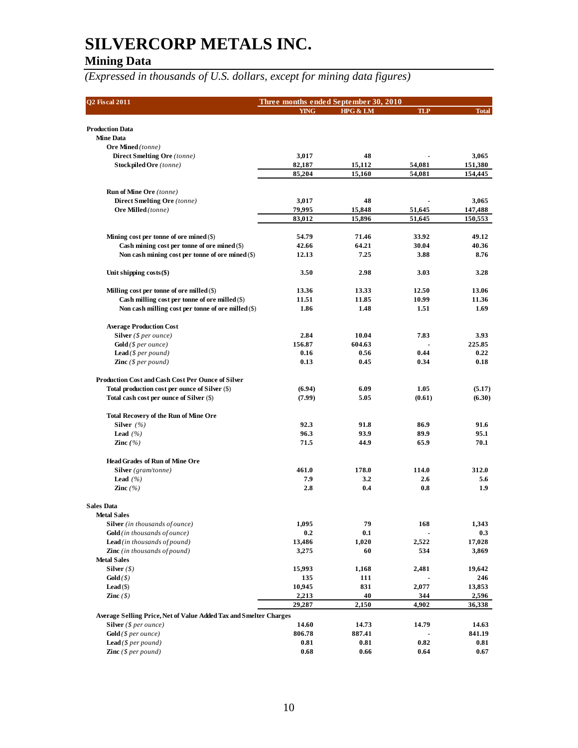### **Mining Data**

| <b>Q2 Fiscal 2011</b>                                             |                 | Three months ended September 30, 2010 |              |                 |  |  |
|-------------------------------------------------------------------|-----------------|---------------------------------------|--------------|-----------------|--|--|
|                                                                   | <b>YING</b>     | HPG & $LM$                            | <b>TLP</b>   | <b>Total</b>    |  |  |
| <b>Production Data</b>                                            |                 |                                       |              |                 |  |  |
| <b>Mine Data</b>                                                  |                 |                                       |              |                 |  |  |
| Ore Mined (tonne)                                                 |                 |                                       |              |                 |  |  |
| <b>Direct Smelting Ore</b> (tonne)                                | 3,017           | 48                                    |              | 3,065           |  |  |
| Stockpiled Ore (tonne)                                            | 82,187          | 15,112                                | 54,081       | 151,380         |  |  |
|                                                                   | 85,204          | 15,160                                | 54,081       | 154,445         |  |  |
| <b>Run of Mine Ore</b> (tonne)                                    |                 |                                       |              |                 |  |  |
| <b>Direct Smelting Ore</b> (tonne)                                | 3,017           | 48                                    |              | 3.065           |  |  |
| Ore Milled (tonne)                                                | 79,995          | 15,848                                | 51,645       | 147,488         |  |  |
|                                                                   | 83,012          | 15,896                                | 51,645       | 150,553         |  |  |
| Mining cost per tonne of ore mined $(\$)$                         | 54.79           | 71.46                                 | 33.92        | 49.12           |  |  |
| Cash mining cost per tonne of ore mined $(\$)$                    | 42.66           | 64.21                                 | 30.04        | 40.36           |  |  |
| Non cash mining cost per tonne of ore mined (\$)                  | 12.13           | 7.25                                  | 3.88         | 8.76            |  |  |
|                                                                   |                 |                                       |              |                 |  |  |
| Unit shipping $costs(\$)$                                         | 3.50            | 2.98                                  | 3.03         | 3.28            |  |  |
| Milling cost per tonne of ore milled (\$)                         | 13.36           | 13.33                                 | 12.50        | 13.06           |  |  |
| Cash milling cost per tonne of ore milled (\$)                    | 11.51           | 11.85                                 | 10.99        | 11.36           |  |  |
| Non cash milling cost per tonne of ore milled (\$)                | 1.86            | 1.48                                  | 1.51         | 1.69            |  |  |
| <b>Average Production Cost</b>                                    |                 |                                       |              |                 |  |  |
| <b>Silver</b> (\$ per ounce)                                      | 2.84            | 10.04                                 | 7.83         | 3.93            |  |  |
| Gold(S per ounce)                                                 | 156.87          | 604.63                                |              | 225.85          |  |  |
| <b>Lead</b> ( $$per pound$ )                                      | 0.16            | 0.56                                  | 0.44         | 0.22            |  |  |
| <b>Zinc</b> $(\$ per pound)$                                      | 0.13            | 0.45                                  | 0.34         | 0.18            |  |  |
| <b>Production Cost and Cash Cost Per Ounce of Silver</b>          |                 |                                       |              |                 |  |  |
| Total production cost per ounce of Silver (\$)                    | (6.94)          | 6.09                                  | 1.05         | (5.17)          |  |  |
| Total cash cost per ounce of Silver (\$)                          | (7.99)          | 5.05                                  | (0.61)       | (6.30)          |  |  |
| <b>Total Recovery of the Run of Mine Ore</b>                      |                 |                                       |              |                 |  |  |
| Silver $(\% )$                                                    | 92.3            | 91.8                                  | 86.9         | 91.6            |  |  |
| <b>Lead</b> $(%$                                                  | 96.3            | 93.9                                  | 89.9         | 95.1            |  |  |
| Zinc $(\% )$                                                      | 71.5            | 44.9                                  | 65.9         | 70.1            |  |  |
| <b>Head Grades of Run of Mine Ore</b>                             |                 |                                       |              |                 |  |  |
| <b>Silver</b> (gram/tonne)                                        | 461.0           | 178.0                                 | 114.0        | 312.0           |  |  |
| Lead $(%$                                                         | 7.9             | 3.2                                   | 2.6          | 5.6             |  |  |
| Zinc $(%$                                                         | 2.8             | 0.4                                   | 0.8          | 1.9             |  |  |
| <b>Sales Data</b>                                                 |                 |                                       |              |                 |  |  |
| Metal Sales                                                       |                 |                                       |              |                 |  |  |
| Silver (in thousands of ounce)                                    | 1,095           | 79                                    | 168          | 1,343           |  |  |
| <b>Gold</b> (in thousands of ounce)                               | $0.2\,$         | 0.1                                   |              | 0.3             |  |  |
| <b>Lead</b> (in thousands of pound)                               | 13,486          | 1,020                                 | 2,522        | 17,028          |  |  |
| <b>Zinc</b> (in thousands of pound)                               | 3,275           | 60                                    | 534          | 3,869           |  |  |
| <b>Metal Sales</b>                                                |                 |                                       |              |                 |  |  |
| Silver $(\hat{\mathbf{S}})$                                       | 15,993          | 1,168                                 | 2,481        | 19,642          |  |  |
| $\text{Gold}(\text{$\circ$})$                                     | 135             | 111                                   |              | 246             |  |  |
| Lead $(\$)$                                                       | 10,945          | 831                                   | 2,077        | 13,853          |  |  |
| Zinc $(\$)$                                                       | 2,213<br>29,287 | 40<br>2,150                           | 344<br>4,902 | 2,596<br>36,338 |  |  |
| Average Selling Price, Net of Value Added Tax and Smelter Charges |                 |                                       |              |                 |  |  |
| <b>Silver</b> ( $$ per ounce$ )                                   | 14.60           | 14.73                                 | 14.79        | 14.63           |  |  |
| Gold(S per ounce)                                                 | 806.78          | 887.41                                |              | 841.19          |  |  |
| <b>Lead</b> ( $$per pound$ )                                      | 0.81            | 0.81                                  | 0.82         | 0.81            |  |  |
| <b>Zinc</b> $(\$ per pound)$                                      | 0.68            | 0.66                                  | 0.64         | 0.67            |  |  |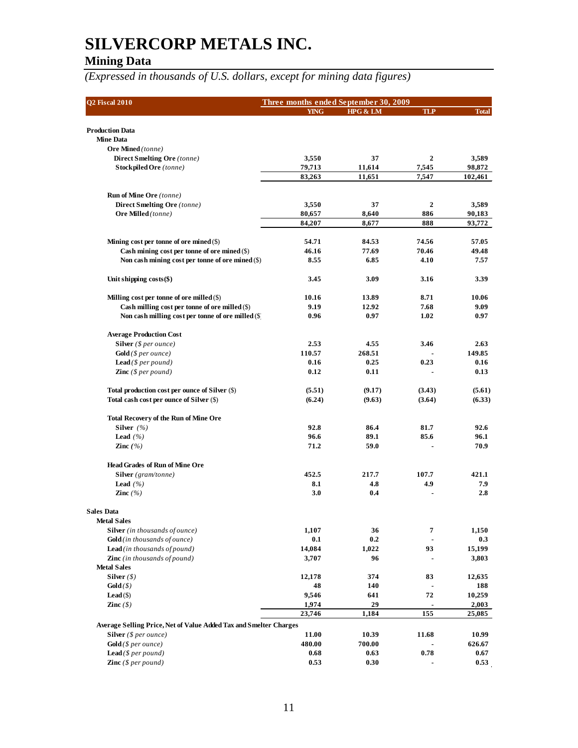### **Mining Data**

| <b>Q2 Fiscal 2010</b>                                                                              | Three months ended September 30, 2009 |               |                  |                  |  |  |  |
|----------------------------------------------------------------------------------------------------|---------------------------------------|---------------|------------------|------------------|--|--|--|
|                                                                                                    | <b>YING</b>                           | HPG & LM      | <b>TLP</b>       | <b>Total</b>     |  |  |  |
| <b>Production Data</b>                                                                             |                                       |               |                  |                  |  |  |  |
| <b>Mine Data</b>                                                                                   |                                       |               |                  |                  |  |  |  |
| <b>Ore Mined</b> (tonne)                                                                           |                                       |               |                  |                  |  |  |  |
| Direct Smelting Ore (tonne)                                                                        | 3,550                                 | 37            | $\overline{2}$   | 3,589            |  |  |  |
| Stockpiled Ore (tonne)                                                                             | 79,713                                | 11,614        | 7,545            | 98,872           |  |  |  |
|                                                                                                    | 83,263                                | 11,651        | 7,547            | 102,461          |  |  |  |
| <b>Run of Mine Ore</b> (tonne)                                                                     |                                       |               |                  |                  |  |  |  |
| Direct Smelting Ore (tonne)                                                                        | 3,550                                 | 37            | $\mathbf{2}$     | 3,589            |  |  |  |
| Ore Milled (tonne)                                                                                 | 80,657                                | 8.640         | 886              | 90,183           |  |  |  |
|                                                                                                    | 84,207                                | 8,677         | 888              | 93,772           |  |  |  |
|                                                                                                    |                                       |               |                  |                  |  |  |  |
| Mining cost per tonne of ore mined (\$)                                                            | 54.71                                 | 84.53         | 74.56            | 57.05            |  |  |  |
| Cash mining cost per tonne of ore mined $(\$)$<br>Non cash mining cost per tonne of ore mined (\$) | 46.16<br>8.55                         | 77.69<br>6.85 | 70.46<br>4.10    | 49.48<br>7.57    |  |  |  |
|                                                                                                    |                                       |               |                  |                  |  |  |  |
| Unit shipping $costs(\$)$                                                                          | 3.45                                  | 3.09          | 3.16             | 3.39             |  |  |  |
| Milling cost per tonne of ore milled (\$)                                                          | 10.16                                 | 13.89         | 8.71             | 10.06            |  |  |  |
| Cash milling cost per tonne of ore milled (\$)                                                     | 9.19                                  | 12.92         | 7.68             | 9.09             |  |  |  |
| Non cash milling cost per tonne of ore milled (\$)                                                 | 0.96                                  | 0.97          | 1.02             | 0.97             |  |  |  |
|                                                                                                    |                                       |               |                  |                  |  |  |  |
| <b>Average Production Cost</b><br><b>Silver</b> (\$ per ounce)                                     | 2.53                                  | 4.55          | 3.46             | 2.63             |  |  |  |
| Gold(S per ounce)                                                                                  | 110.57                                | 268.51        |                  | 149.85           |  |  |  |
| <b>Lead</b> ( $$per pound$ )                                                                       | 0.16                                  | 0.25          | 0.23             | 0.16             |  |  |  |
| <b>Zinc</b> $(\$ per pound)$                                                                       | 0.12                                  | 0.11          |                  | 0.13             |  |  |  |
|                                                                                                    |                                       | (9.17)        |                  |                  |  |  |  |
| Total production cost per ounce of Silver (\$)<br>Total cash cost per ounce of Silver (\$)         | (5.51)<br>(6.24)                      | (9.63)        | (3.43)<br>(3.64) | (5.61)<br>(6.33) |  |  |  |
| <b>Total Recovery of the Run of Mine Ore</b>                                                       |                                       |               |                  |                  |  |  |  |
| Silver $(%)$                                                                                       | 92.8                                  | 86.4          | 81.7             | 92.6             |  |  |  |
| <b>Lead</b> $(%$                                                                                   | 96.6                                  | 89.1          | 85.6             | 96.1             |  |  |  |
| Zinc $(%)$                                                                                         | 71.2                                  | 59.0          |                  | 70.9             |  |  |  |
| <b>Head Grades of Run of Mine Ore</b>                                                              |                                       |               |                  |                  |  |  |  |
| <b>Silver</b> (gram/tonne)                                                                         | 452.5                                 | 217.7         | 107.7            | 421.1            |  |  |  |
| <b>Lead</b> $(%)$                                                                                  | 8.1                                   | 4.8           | 4.9              | 7.9              |  |  |  |
| Zinc $(%$                                                                                          | 3.0                                   | 0.4           |                  | 2.8              |  |  |  |
| <b>Sales Data</b>                                                                                  |                                       |               |                  |                  |  |  |  |
| <b>Metal Sales</b>                                                                                 |                                       |               |                  |                  |  |  |  |
| <b>Silver</b> (in thousands of ounce)                                                              | 1,107                                 | 36            | 7                | 1,150            |  |  |  |
| <b>Gold</b> (in thousands of ounce)                                                                | 0.1                                   | 0.2           |                  | 0.3              |  |  |  |
| Lead (in thousands of pound)                                                                       | 14,084                                | 1,022         | 93               | 15,199           |  |  |  |
| <b>Zinc</b> (in thousands of pound)                                                                | 3,707                                 | 96            |                  | 3,803            |  |  |  |
| <b>Metal Sales</b>                                                                                 |                                       |               |                  |                  |  |  |  |
| Silver $(\$)$                                                                                      | 12,178                                | 374           | 83               | 12,635           |  |  |  |
| $\text{Gold}\,(\text{\$})$                                                                         | 48                                    | 140           |                  | 188              |  |  |  |
| Lead $($ )                                                                                         | 9,546                                 | 641           | 72               | 10,259           |  |  |  |
| Zinc $(\$)$                                                                                        | 1,974<br>23,746                       | 29<br>1,184   | 155              | 2,003<br>25,085  |  |  |  |
| Average Selling Price, Net of Value Added Tax and Smelter Charges                                  |                                       |               |                  |                  |  |  |  |
| Silver $(§ per ounce)$                                                                             | 11.00                                 | 10.39         | 11.68            | 10.99            |  |  |  |
| Gold (\$ per ounce)                                                                                | 480.00                                | 700.00        |                  | 626.67           |  |  |  |
| <b>Lead</b> ( $$per pound$ )                                                                       | 0.68                                  | 0.63          | 0.78             | 0.67             |  |  |  |
| <b>Zinc</b> $(\$ per pound)$                                                                       | 0.53                                  | 0.30          |                  | 0.53             |  |  |  |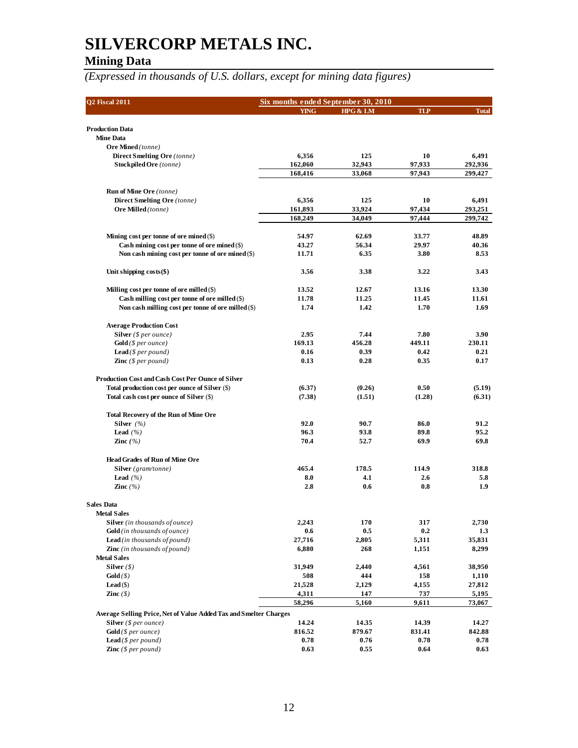### **Mining Data**

| <b>O2 Fiscal 2011</b>                                             | Six months ended September 30, 2010 |              |              |                 |
|-------------------------------------------------------------------|-------------------------------------|--------------|--------------|-----------------|
|                                                                   | <b>YING</b>                         | HPG & LM     | <b>TLP</b>   | <b>Total</b>    |
| <b>Production Data</b>                                            |                                     |              |              |                 |
| <b>Mine Data</b>                                                  |                                     |              |              |                 |
| Ore Mined (tonne)                                                 |                                     |              |              |                 |
| <b>Direct Smelting Ore</b> (tonne)                                | 6,356                               | 125          | 10           | 6,491           |
| <b>Stockpiled Ore</b> (tonne)                                     | 162,060                             | 32,943       | 97,933       | 292,936         |
|                                                                   | 168,416                             | 33,068       | 97,943       | 299,427         |
| <b>Run of Mine Ore</b> (tonne)                                    |                                     |              |              |                 |
| Direct Smelting Ore (tonne)                                       | 6,356                               | 125          | 10           | 6,491           |
| Ore Milled (tonne)                                                | 161,893                             | 33,924       | 97.434       | 293,251         |
|                                                                   | 168,249                             | 34,049       | 97,444       | 299,742         |
| Mining cost per tonne of ore mined $(\$)$                         | 54.97                               | 62.69        | 33.77        | 48.89           |
| Cash mining cost per tonne of ore mined $(\$)$                    | 43.27                               | 56.34        | 29.97        | 40.36           |
| Non cash mining cost per tonne of ore mined $(\$)$                | 11.71                               | 6.35         | 3.80         | 8.53            |
| Unit shipping $costs(\text{$\$})$                                 | 3.56                                | 3.38         | 3.22         | 3.43            |
|                                                                   |                                     |              |              |                 |
| Milling cost per tonne of ore milled (\$)                         | 13.52                               | 12.67        | 13.16        | 13.30           |
| Cash milling cost per tonne of ore milled (\$)                    | 11.78                               | 11.25        | 11.45        | 11.61           |
| Non cash milling cost per tonne of ore milled (\$)                | 1.74                                | 1.42         | 1.70         | 1.69            |
| <b>Average Production Cost</b>                                    |                                     |              |              |                 |
| Silver (\$ per ounce)                                             | 2.95                                | 7.44         | 7.80         | 3.90            |
| Gold(S per ounce)                                                 | 169.13                              | 456.28       | 449.11       | 230.11          |
| <b>Lead</b> ( $$per pound$ )                                      | 0.16                                | 0.39         | 0.42         | 0.21            |
| <b>Zinc</b> $(S$ per pound)                                       | 0.13                                | 0.28         | 0.35         | 0.17            |
| Production Cost and Cash Cost Per Ounce of Silver                 |                                     |              |              |                 |
| Total production cost per ounce of Silver (\$)                    | (6.37)                              | (0.26)       | 0.50         | (5.19)          |
| Total cash cost per ounce of Silver (\$)                          | (7.38)                              | (1.51)       | (1.28)       | (6.31)          |
| <b>Total Recovery of the Run of Mine Ore</b>                      |                                     |              |              |                 |
| Silver $(%)$                                                      | 92.0                                | 90.7         | 86.0         | 91.2            |
| <b>Lead</b> $(%$                                                  | 96.3                                | 93.8         | 89.8         | 95.2            |
| Zinc $(\% )$                                                      | 70.4                                | 52.7         | 69.9         | 69.8            |
| <b>Head Grades of Run of Mine Ore</b>                             |                                     |              |              |                 |
| <b>Silver</b> (gram/tonne)                                        | 465.4                               | 178.5        | 114.9        | 318.8           |
| Lead $(%$                                                         | 8.0                                 | 4.1          | 2.6          | 5.8             |
| Zinc $(%$                                                         | 2.8                                 | 0.6          | 0.8          | 1.9             |
| <b>Sales Data</b>                                                 |                                     |              |              |                 |
| <b>Metal Sales</b>                                                |                                     |              |              |                 |
| <b>Silver</b> (in thousands of ounce)                             | 2,243                               | 170          | 317          | 2,730           |
| <b>Gold</b> (in thousands of ounce)                               | $0.6\,$                             | $0.5\,$      | $0.2\,$      | 1.3             |
| Lead (in thousands of pound)                                      | 27,716                              | 2,805        | 5,311        | 35,831          |
| <b>Zinc</b> (in thousands of pound)                               | 6,880                               | 268          | 1,151        | 8,299           |
| <b>Metal Sales</b>                                                |                                     |              |              |                 |
| Silver $(\$)$                                                     | 31,949                              | 2,440        | 4,561        | 38,950          |
| $\text{Gold}\,(\text{\$})$                                        | 508                                 | 444          | 158          | 1,110           |
| Lead $(\$)$                                                       | 21,528                              | 2,129        | 4,155        | 27,812          |
| Zinc $(\$)$                                                       | 4,311<br>58,296                     | 147<br>5,160 | 737<br>9,611 | 5,195<br>73,067 |
| Average Selling Price, Net of Value Added Tax and Smelter Charges |                                     |              |              |                 |
| <b>Silver</b> ( $$ per ounce$ )                                   | 14.24                               | 14.35        | 14.39        | 14.27           |
| $Gold$ (\$ per ounce)                                             | 816.52                              | 879.67       | 831.41       | 842.88          |
| <b>Lead</b> ( $$per pound$ )                                      | 0.78                                | 0.76         | 0.78         | 0.78            |
| <b>Zinc</b> $(\$ per pound)$                                      | 0.63                                | 0.55         | 0.64         | 0.63            |